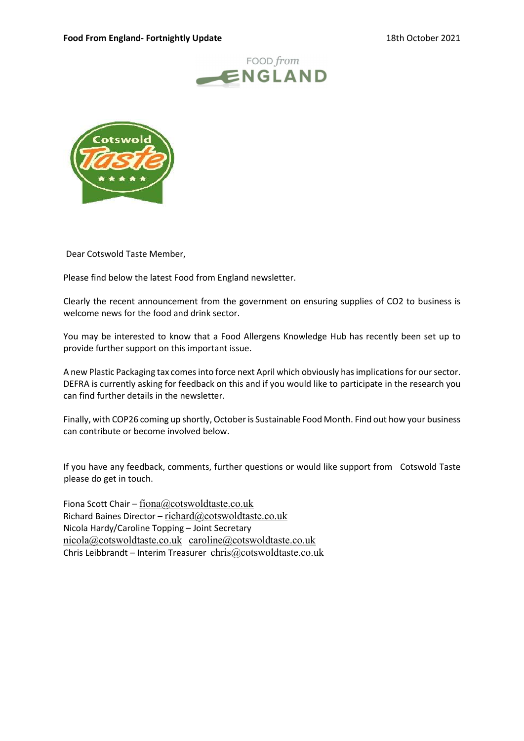



Dear Cotswold Taste Member,

Please find below the latest Food from England newsletter.

Clearly the recent announcement from the government on ensuring supplies of CO2 to business is welcome news for the food and drink sector.

You may be interested to know that a Food Allergens Knowledge Hub has recently been set up to provide further support on this important issue.

A new Plastic Packaging tax comes into force next April which obviously has implications for our sector. DEFRA is currently asking for feedback on this and if you would like to participate in the research you can find further details in the newsletter.

Finally, with COP26 coming up shortly, October is Sustainable Food Month. Find out how your business can contribute or become involved below.

If you have any feedback, comments, further questions or would like support from Cotswold Taste please do get in touch.

Fiona Scott Chair – fiona@cotswoldtaste.co.uk Richard Baines Director – richard $@$ cotswoldtaste.co.uk Nicola Hardy/Caroline Topping – Joint Secretary nicola@cotswoldtaste.co.uk caroline@cotswoldtaste.co.uk Chris Leibbrandt – Interim Treasurer chris $@$ cotswoldtaste.co.uk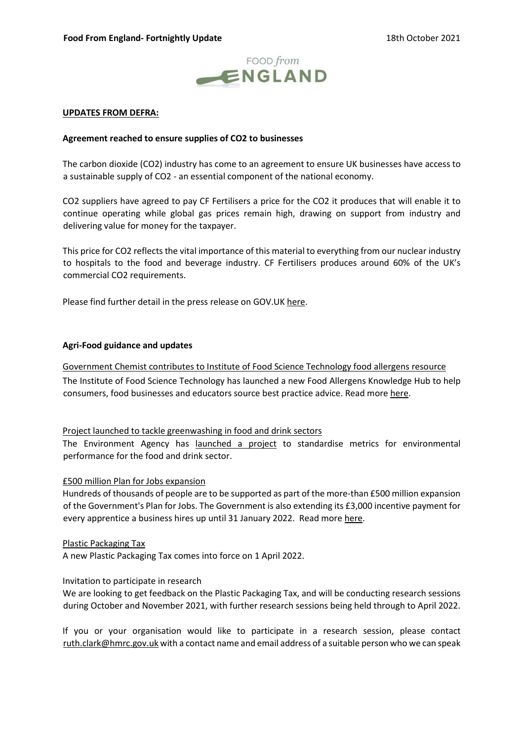

# UPDATES FROM DEFRA:

# Agreement reached to ensure supplies of CO2 to businesses

The carbon dioxide (CO2) industry has come to an agreement to ensure UK businesses have access to a sustainable supply of CO2 - an essential component of the national economy.

CO2 suppliers have agreed to pay CF Fertilisers a price for the CO2 it produces that will enable it to continue operating while global gas prices remain high, drawing on support from industry and delivering value for money for the taxpayer.

This price for CO2 reflects the vital importance of this material to everything from our nuclear industry to hospitals to the food and beverage industry. CF Fertilisers produces around 60% of the UK's commercial CO2 requirements.

Please find further detail in the press release on GOV.UK here.

# Agri-Food guidance and updates

Government Chemist contributes to Institute of Food Science Technology food allergens resource The Institute of Food Science Technology has launched a new Food Allergens Knowledge Hub to help consumers, food businesses and educators source best practice advice. Read more here.

## Project launched to tackle greenwashing in food and drink sectors

The Environment Agency has launched a project to standardise metrics for environmental performance for the food and drink sector.

## £500 million Plan for Jobs expansion

Hundreds of thousands of people are to be supported as part of the more-than £500 million expansion of the Government's Plan for Jobs. The Government is also extending its £3,000 incentive payment for every apprentice a business hires up until 31 January 2022. Read more here.

## Plastic Packaging Tax

A new Plastic Packaging Tax comes into force on 1 April 2022.

## Invitation to participate in research

We are looking to get feedback on the Plastic Packaging Tax, and will be conducting research sessions during October and November 2021, with further research sessions being held through to April 2022.

If you or your organisation would like to participate in a research session, please contact ruth.clark@hmrc.gov.uk with a contact name and email address of a suitable person who we can speak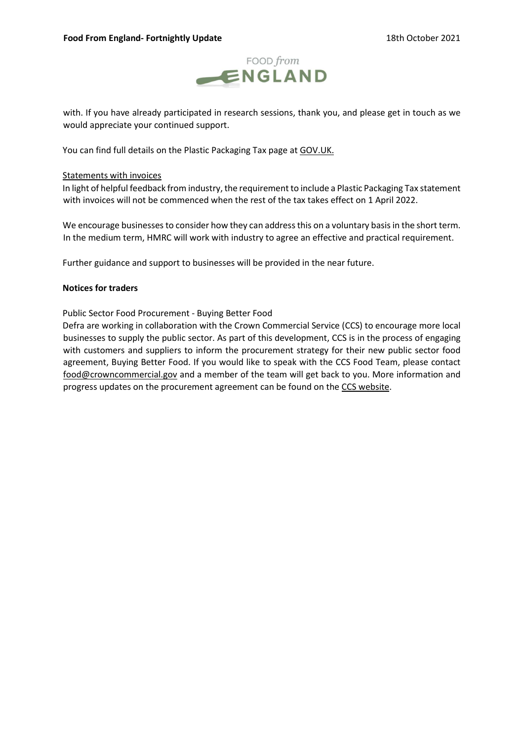

with. If you have already participated in research sessions, thank you, and please get in touch as we would appreciate your continued support.

You can find full details on the Plastic Packaging Tax page at GOV.UK.

## Statements with invoices

In light of helpful feedback from industry, the requirement to include a Plastic Packaging Tax statement with invoices will not be commenced when the rest of the tax takes effect on 1 April 2022.

We encourage businesses to consider how they can address this on a voluntary basis in the short term. In the medium term, HMRC will work with industry to agree an effective and practical requirement.

Further guidance and support to businesses will be provided in the near future.

# Notices for traders

# Public Sector Food Procurement - Buying Better Food

Defra are working in collaboration with the Crown Commercial Service (CCS) to encourage more local businesses to supply the public sector. As part of this development, CCS is in the process of engaging with customers and suppliers to inform the procurement strategy for their new public sector food agreement, Buying Better Food. If you would like to speak with the CCS Food Team, please contact food@crowncommercial.gov and a member of the team will get back to you. More information and progress updates on the procurement agreement can be found on the CCS website.